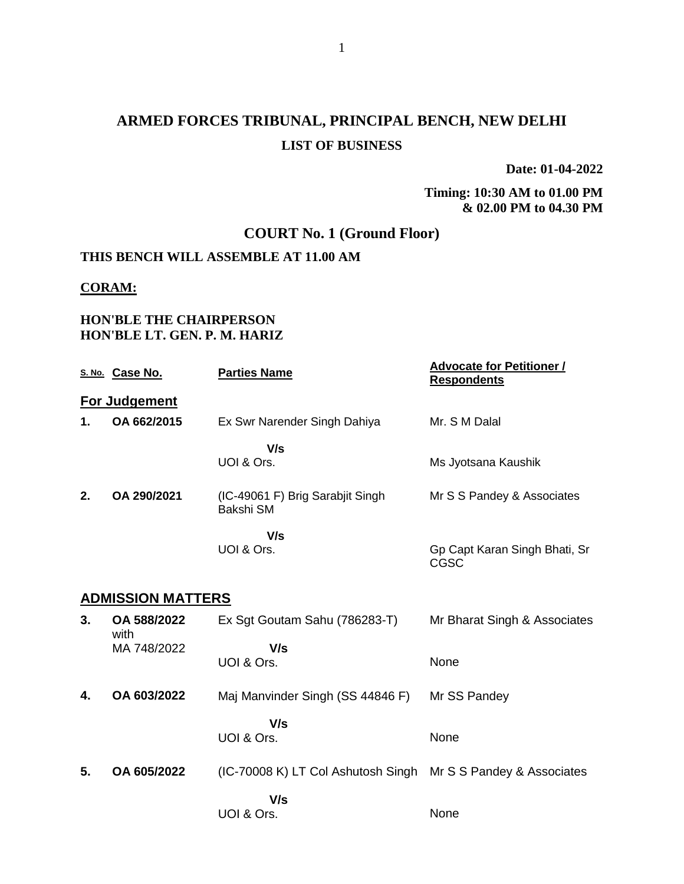# **ARMED FORCES TRIBUNAL, PRINCIPAL BENCH, NEW DELHI LIST OF BUSINESS**

**Date: 01-04-2022**

**Timing: 10:30 AM to 01.00 PM & 02.00 PM to 04.30 PM**

# **COURT No. 1 (Ground Floor)**

#### **THIS BENCH WILL ASSEMBLE AT 11.00 AM**

#### **CORAM:**

### **HON'BLE THE CHAIRPERSON HON'BLE LT. GEN. P. M. HARIZ**

|    | S. No. Case No.          | <b>Parties Name</b>                           | <b>Advocate for Petitioner /</b><br><b>Respondents</b> |
|----|--------------------------|-----------------------------------------------|--------------------------------------------------------|
|    | For Judgement            |                                               |                                                        |
| 1. | OA 662/2015              | Ex Swr Narender Singh Dahiya                  | Mr. S M Dalal                                          |
|    |                          | V/s<br>UOI & Ors.                             | Ms Jyotsana Kaushik                                    |
| 2. | OA 290/2021              | (IC-49061 F) Brig Sarabjit Singh<br>Bakshi SM | Mr S S Pandey & Associates                             |
|    |                          | V/s<br>UOI & Ors.                             | Gp Capt Karan Singh Bhati, Sr<br><b>CGSC</b>           |
|    | <b>ADMISSION MATTERS</b> |                                               |                                                        |
| 3. | OA 588/2022<br>with      | Ex Sgt Goutam Sahu (786283-T)                 | Mr Bharat Singh & Associates                           |
|    | MA 748/2022              | V/s<br>UOI & Ors.                             | None                                                   |
| 4. | OA 603/2022              | Maj Manvinder Singh (SS 44846 F)              | Mr SS Pandey                                           |
|    |                          | V/s<br>UOI & Ors.                             | None                                                   |
| 5. | OA 605/2022              | (IC-70008 K) LT Col Ashutosh Singh            | Mr S S Pandey & Associates                             |
|    |                          | V/s<br>UOI & Ors.                             | None                                                   |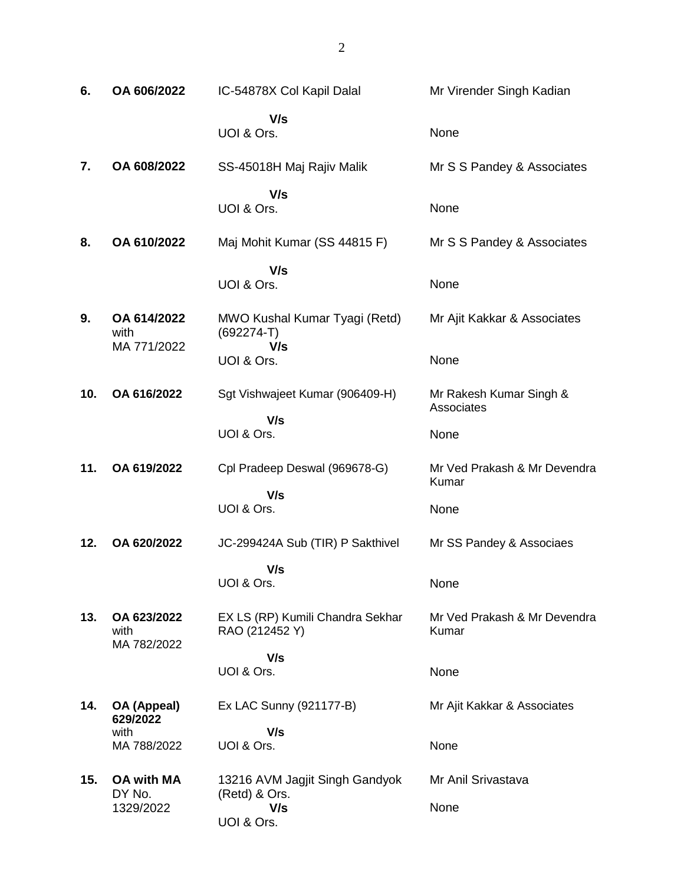| 6.  | OA 606/2022                              | IC-54878X Col Kapil Dalal                              | Mr Virender Singh Kadian              |
|-----|------------------------------------------|--------------------------------------------------------|---------------------------------------|
|     |                                          | V/s<br>UOI & Ors.                                      | None                                  |
| 7.  | OA 608/2022                              | SS-45018H Maj Rajiv Malik                              | Mr S S Pandey & Associates            |
|     |                                          | V/s<br>UOI & Ors.                                      | None                                  |
| 8.  | OA 610/2022                              | Maj Mohit Kumar (SS 44815 F)                           | Mr S S Pandey & Associates            |
|     |                                          | V/s<br>UOI & Ors.                                      | None                                  |
| 9.  | OA 614/2022<br>with                      | MWO Kushal Kumar Tyagi (Retd)<br>$(692274-T)$<br>V/s   | Mr Ajit Kakkar & Associates           |
|     | MA 771/2022                              | UOI & Ors.                                             | None                                  |
| 10. | OA 616/2022                              | Sgt Vishwajeet Kumar (906409-H)                        | Mr Rakesh Kumar Singh &<br>Associates |
|     |                                          | V/s<br>UOI & Ors.                                      | None                                  |
| 11. | OA 619/2022                              | Cpl Pradeep Deswal (969678-G)                          | Mr Ved Prakash & Mr Devendra<br>Kumar |
|     |                                          | V/s<br>UOI & Ors.                                      | None                                  |
| 12. | OA 620/2022                              | JC-299424A Sub (TIR) P Sakthivel                       | Mr SS Pandey & Associaes              |
|     |                                          | V/s<br>UOI & Ors.                                      | None                                  |
| 13. | OA 623/2022<br>with<br>MA 782/2022       | EX LS (RP) Kumili Chandra Sekhar<br>RAO (212452 Y)     | Mr Ved Prakash & Mr Devendra<br>Kumar |
|     |                                          | V/s<br>UOI & Ors.                                      | None                                  |
| 14. | OA (Appeal)<br>629/2022                  | Ex LAC Sunny (921177-B)                                | Mr Ajit Kakkar & Associates           |
|     | with<br>MA 788/2022                      | V/s<br>UOI & Ors.                                      | None                                  |
| 15. | <b>OA with MA</b><br>DY No.<br>1329/2022 | 13216 AVM Jagjit Singh Gandyok<br>(Retd) & Ors.<br>V/s | Mr Anil Srivastava<br>None            |
|     |                                          | UOI & Ors.                                             |                                       |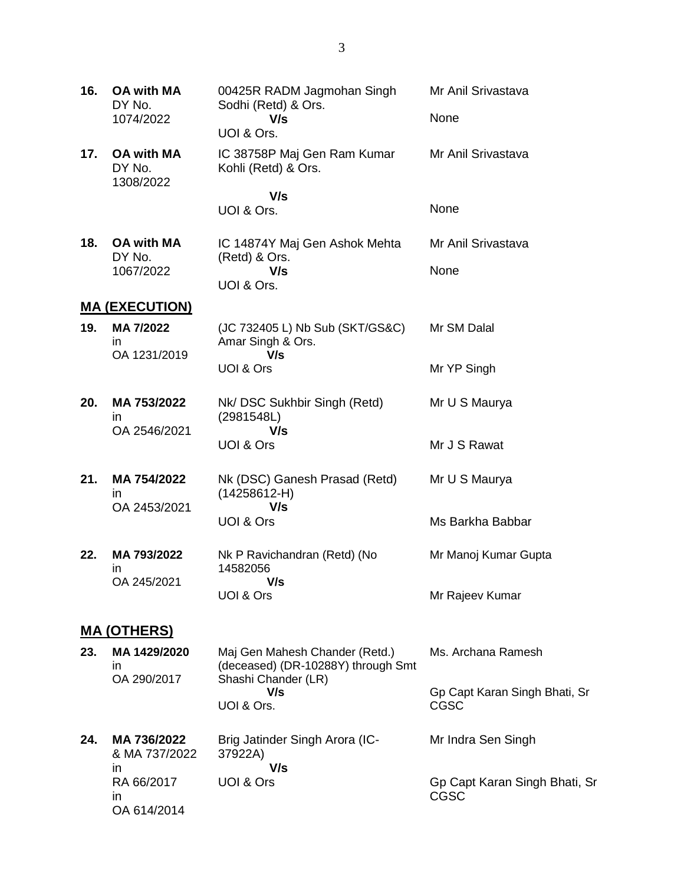| 16. | <b>OA with MA</b><br>DY No.              | 00425R RADM Jagmohan Singh<br>Sodhi (Retd) & Ors.                    | Mr Anil Srivastava                           |
|-----|------------------------------------------|----------------------------------------------------------------------|----------------------------------------------|
|     | 1074/2022                                | V/s<br>UOI & Ors.                                                    | None                                         |
| 17. | <b>OA with MA</b><br>DY No.<br>1308/2022 | IC 38758P Maj Gen Ram Kumar<br>Kohli (Retd) & Ors.                   | Mr Anil Srivastava                           |
|     |                                          | V/s<br>UOI & Ors.                                                    | None                                         |
|     |                                          |                                                                      |                                              |
| 18. | <b>OA with MA</b><br>DY No.              | IC 14874Y Maj Gen Ashok Mehta<br>(Retd) & Ors.                       | Mr Anil Srivastava                           |
|     | 1067/2022                                | V/s                                                                  | None                                         |
|     |                                          | UOI & Ors.                                                           |                                              |
|     | <b>MA (EXECUTION)</b>                    |                                                                      |                                              |
| 19. | MA 7/2022<br>in.<br>OA 1231/2019         | (JC 732405 L) Nb Sub (SKT/GS&C)<br>Amar Singh & Ors.<br>V/s          | Mr SM Dalal                                  |
|     |                                          | UOI & Ors                                                            | Mr YP Singh                                  |
| 20. | MA 753/2022<br>$\mathsf{I}$              | Nk/DSC Sukhbir Singh (Retd)<br>(2981548L)                            | Mr U S Maurya                                |
|     | OA 2546/2021                             | V/s<br>UOI & Ors                                                     | Mr J S Rawat                                 |
| 21. | MA 754/2022<br>$\mathsf{I}$              | Nk (DSC) Ganesh Prasad (Retd)<br>$(14258612-H)$                      | Mr U S Maurya                                |
|     | OA 2453/2021                             | V/s<br>UOI & Ors                                                     | Ms Barkha Babbar                             |
| 22. | MA 793/2022<br>in                        | Nk P Ravichandran (Retd) (No<br>14582056                             | Mr Manoj Kumar Gupta                         |
|     | OA 245/2021                              | V/s<br>UOI & Ors                                                     | Mr Rajeev Kumar                              |
|     | <b>MA (OTHERS)</b>                       |                                                                      |                                              |
| 23. | MA 1429/2020<br>ın<br>OA 290/2017        | Maj Gen Mahesh Chander (Retd.)<br>(deceased) (DR-10288Y) through Smt | Ms. Archana Ramesh                           |
|     |                                          | Shashi Chander (LR)<br>V/s<br>UOI & Ors.                             | Gp Capt Karan Singh Bhati, Sr<br><b>CGSC</b> |
| 24. | MA 736/2022<br>& MA 737/2022<br>ın       | Brig Jatinder Singh Arora (IC-<br>37922A)<br>V/s                     | Mr Indra Sen Singh                           |
|     | RA 66/2017<br>in.<br>OA 614/2014         | UOI & Ors                                                            | Gp Capt Karan Singh Bhati, Sr<br><b>CGSC</b> |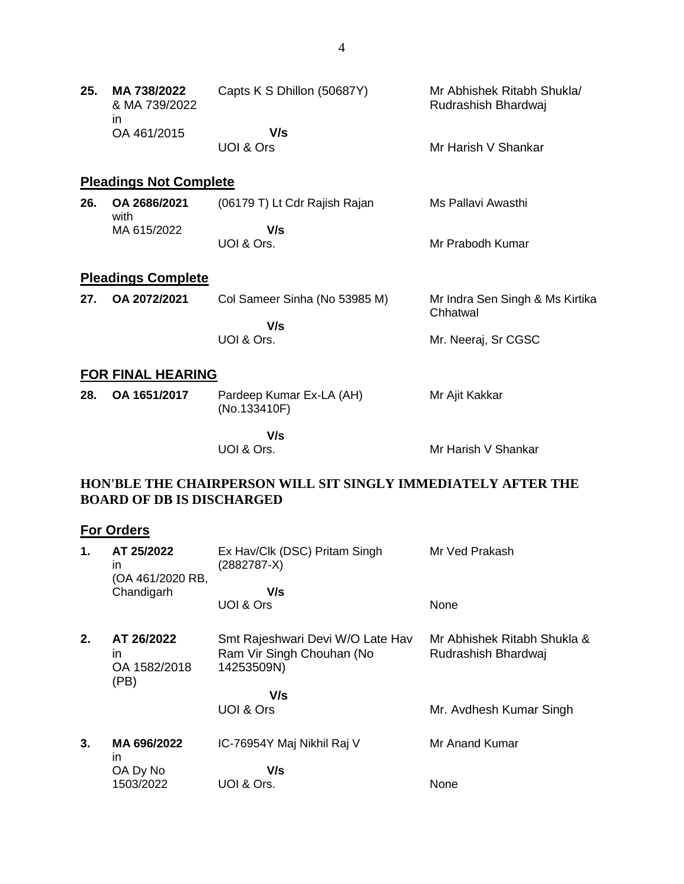| 25. | MA 738/2022<br>& MA 739/2022<br>ın | Capts K S Dhillon (50687Y) | Mr Abhishek Ritabh Shukla/<br>Rudrashish Bhardwai |
|-----|------------------------------------|----------------------------|---------------------------------------------------|
|     | OA 461/2015                        | V/s<br>UOI & Ors           | Mr Harish V Shankar                               |

# **Pleadings Not Complete**

| 26. | OA 2686/2021<br>with | (06179 T) Lt Cdr Rajish Rajan | Ms Pallavi Awasthi |
|-----|----------------------|-------------------------------|--------------------|
|     | MA 615/2022          | V/s<br>UOI & Ors.             | Mr Prabodh Kumar   |

# **Pleadings Complete**

| 27. | OA 2072/2021 | Col Sameer Sinha (No 53985 M) | Mr Indra Sen Singh & Ms Kirtika<br>Chhatwal |
|-----|--------------|-------------------------------|---------------------------------------------|
|     |              | V/s                           |                                             |
|     |              | UOI & Ors.                    | Mr. Neeraj, Sr CGSC                         |

### **FOR FINAL HEARING**

| 28. | OA 1651/2017 | Pardeep Kumar Ex-LA (AH)<br>(No.133410F) | Mr Ajit Kakkar |
|-----|--------------|------------------------------------------|----------------|
|     |              | V/s                                      |                |

UOI & Ors.

Mr Harish V Shankar

### **HON'BLE THE CHAIRPERSON WILL SIT SINGLY IMMEDIATELY AFTER THE BOARD OF DB IS DISCHARGED**

# **For Orders**

| 1. | AT 25/2022<br>in<br>(OA 461/2020 RB,     | Ex Hav/Clk (DSC) Pritam Singh<br>$(2882787-X)$                              | Mr Ved Prakash                                     |
|----|------------------------------------------|-----------------------------------------------------------------------------|----------------------------------------------------|
|    | Chandigarh                               | V/s                                                                         |                                                    |
|    |                                          | UOI & Ors                                                                   | None                                               |
| 2. | AT 26/2022<br>ın<br>OA 1582/2018<br>(PB) | Smt Rajeshwari Devi W/O Late Hav<br>Ram Vir Singh Chouhan (No<br>14253509N) | Mr Abhishek Ritabh Shukla &<br>Rudrashish Bhardwai |
|    |                                          | V/s                                                                         |                                                    |
|    |                                          | UOI & Ors                                                                   | Mr. Avdhesh Kumar Singh                            |
| 3. | MA 696/2022<br>in                        | IC-76954Y Maj Nikhil Raj V                                                  | Mr Anand Kumar                                     |
|    | OA Dy No                                 | V/s                                                                         |                                                    |
|    | 1503/2022                                | UOI & Ors.                                                                  | None                                               |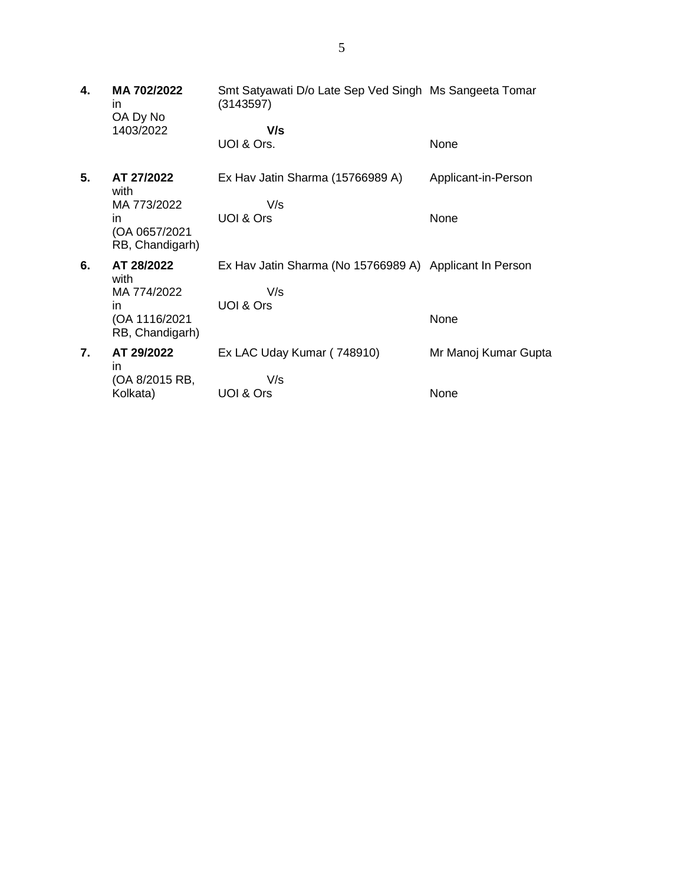| 4. | MA 702/2022<br>in<br>OA Dy No                          | Smt Satyawati D/o Late Sep Ved Singh Ms Sangeeta Tomar<br>(3143597)         |                      |
|----|--------------------------------------------------------|-----------------------------------------------------------------------------|----------------------|
|    | 1403/2022                                              | V/s<br>UOI & Ors.                                                           | None                 |
| 5. | AT 27/2022<br>with                                     | Ex Hav Jatin Sharma (15766989 A)                                            | Applicant-in-Person  |
|    | MA 773/2022<br>in.<br>(OA 0657/2021<br>RB, Chandigarh) | V/s<br>UOI & Ors                                                            | None                 |
| 6. | AT 28/2022<br>with<br>MA 774/2022<br>in                | Ex Hav Jatin Sharma (No 15766989 A) Applicant In Person<br>V/s<br>UOI & Ors |                      |
|    | (OA 1116/2021<br>RB, Chandigarh)                       |                                                                             | None                 |
| 7. | AT 29/2022<br>in                                       | Ex LAC Uday Kumar (748910)                                                  | Mr Manoj Kumar Gupta |
|    | (OA 8/2015 RB,<br>Kolkata)                             | V/s<br>UOI & Ors                                                            | None                 |
|    |                                                        |                                                                             |                      |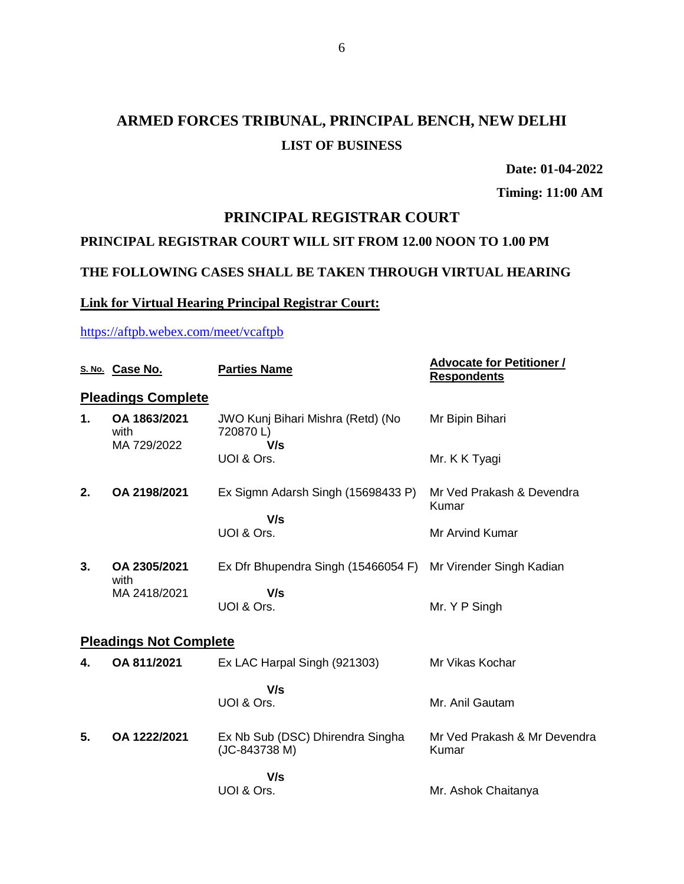# **ARMED FORCES TRIBUNAL, PRINCIPAL BENCH, NEW DELHI LIST OF BUSINESS**

**Date: 01-04-2022**

**Timing: 11:00 AM**

# **PRINCIPAL REGISTRAR COURT**

# **PRINCIPAL REGISTRAR COURT WILL SIT FROM 12.00 NOON TO 1.00 PM**

## **THE FOLLOWING CASES SHALL BE TAKEN THROUGH VIRTUAL HEARING**

### **Link for Virtual Hearing Principal Registrar Court:**

## <https://aftpb.webex.com/meet/vcaftpb>

|    | S. No. Case No.                     | <b>Parties Name</b>                                  | <b>Advocate for Petitioner /</b><br><b>Respondents</b> |
|----|-------------------------------------|------------------------------------------------------|--------------------------------------------------------|
|    | <b>Pleadings Complete</b>           |                                                      |                                                        |
| 1. | OA 1863/2021<br>with<br>MA 729/2022 | JWO Kunj Bihari Mishra (Retd) (No<br>720870L)<br>V/s | Mr Bipin Bihari                                        |
|    |                                     | UOI & Ors.                                           | Mr. K K Tyagi                                          |
| 2. | OA 2198/2021                        | Ex Sigmn Adarsh Singh (15698433 P)<br>V/s            | Mr Ved Prakash & Devendra<br>Kumar                     |
|    |                                     | UOI & Ors.                                           | Mr Arvind Kumar                                        |
| 3. | OA 2305/2021<br>with                | Ex Dfr Bhupendra Singh (15466054 F)                  | Mr Virender Singh Kadian                               |
|    | MA 2418/2021                        | V/s<br>UOI & Ors.                                    | Mr. Y P Singh                                          |
|    | <b>Pleadings Not Complete</b>       |                                                      |                                                        |
| 4. | OA 811/2021                         | Ex LAC Harpal Singh (921303)                         | Mr Vikas Kochar                                        |
|    |                                     | V/s<br>UOI & Ors.                                    | Mr. Anil Gautam                                        |
| 5. | OA 1222/2021                        | Ex Nb Sub (DSC) Dhirendra Singha<br>(JC-843738 M)    | Mr Ved Prakash & Mr Devendra<br>Kumar                  |
|    |                                     | V/s<br>UOI & Ors.                                    | Mr. Ashok Chaitanya                                    |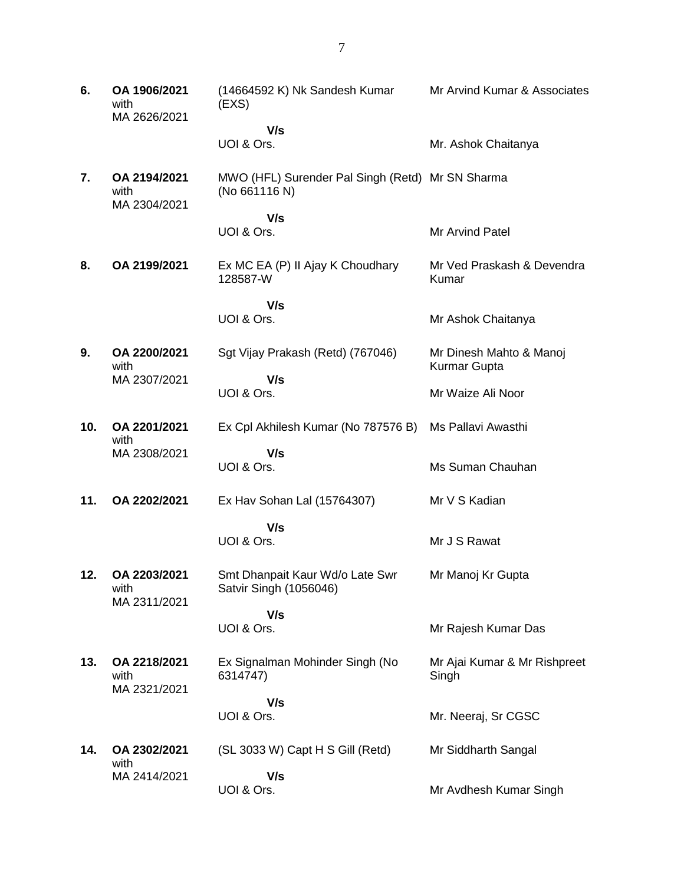**6. OA 1906/2021** with MA 2626/2021 (14664592 K) Nk Sandesh Kumar (EXS)  **V/s** UOI & Ors. Mr Arvind Kumar & Associates Mr. Ashok Chaitanya **7. OA 2194/2021** with MA 2304/2021 MWO (HFL) Surender Pal Singh (Retd) Mr SN Sharma (No 661116 N)  **V/s** UOI & Ors. Mr Arvind Patel **8. OA 2199/2021** Ex MC EA (P) II Ajay K Choudhary 128587-W  **V/s** UOI & Ors. Mr Ved Praskash & Devendra Kumar Mr Ashok Chaitanya **9. OA 2200/2021** with MA 2307/2021 Sgt Vijay Prakash (Retd) (767046)  **V/s** UOI & Ors. Mr Dinesh Mahto & Manoj Kurmar Gupta Mr Waize Ali Noor **10. OA 2201/2021** with MA 2308/2021 Ex Cpl Akhilesh Kumar (No 787576 B) Ms Pallavi Awasthi  **V/s** UOI & Ors. Ms Suman Chauhan **11. OA 2202/2021** Ex Hav Sohan Lal (15764307)  **V/s** UOI & Ors. Mr V S Kadian Mr J S Rawat **12. OA 2203/2021** with MA 2311/2021 Smt Dhanpait Kaur Wd/o Late Swr Satvir Singh (1056046)  **V/s** UOI & Ors. Mr Manoj Kr Gupta Mr Rajesh Kumar Das **13. OA 2218/2021** with MA 2321/2021 Ex Signalman Mohinder Singh (No 6314747)  **V/s** UOI & Ors. Mr Ajai Kumar & Mr Rishpreet Singh Mr. Neeraj, Sr CGSC **14. OA 2302/2021** with MA 2414/2021 (SL 3033 W) Capt H S Gill (Retd)  **V/s** UOI & Ors. Mr Siddharth Sangal Mr Avdhesh Kumar Singh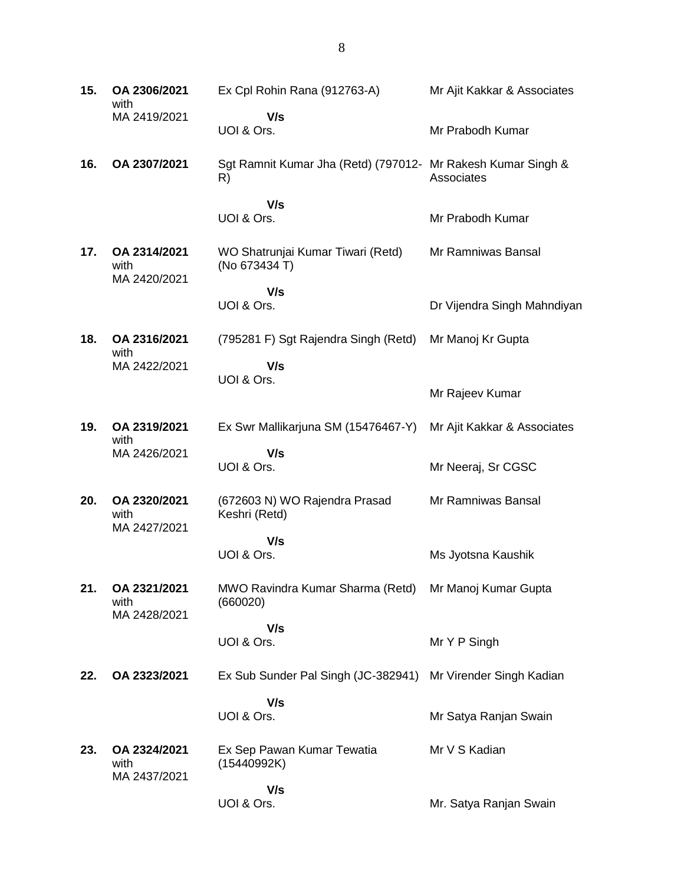| 15. | OA 2306/2021<br>with                 | Ex Cpl Rohin Rana (912763-A)                                       | Mr Ajit Kakkar & Associates |
|-----|--------------------------------------|--------------------------------------------------------------------|-----------------------------|
|     | MA 2419/2021                         | V/s<br>UOI & Ors.                                                  | Mr Prabodh Kumar            |
| 16. | OA 2307/2021                         | Sgt Ramnit Kumar Jha (Retd) (797012- Mr Rakesh Kumar Singh &<br>R) | Associates                  |
|     |                                      | V/s<br>UOI & Ors.                                                  | Mr Prabodh Kumar            |
| 17. | OA 2314/2021<br>with<br>MA 2420/2021 | WO Shatrunjai Kumar Tiwari (Retd)<br>(No 673434 T)                 | Mr Ramniwas Bansal          |
|     |                                      | V/s<br>UOI & Ors.                                                  | Dr Vijendra Singh Mahndiyan |
| 18. | OA 2316/2021<br>with                 | (795281 F) Sgt Rajendra Singh (Retd)                               | Mr Manoj Kr Gupta           |
|     | MA 2422/2021                         | V/s<br>UOI & Ors.                                                  | Mr Rajeev Kumar             |
| 19. | OA 2319/2021                         | Ex Swr Mallikarjuna SM (15476467-Y)                                | Mr Ajit Kakkar & Associates |
|     | with<br>MA 2426/2021                 | V/s<br>UOI & Ors.                                                  | Mr Neeraj, Sr CGSC          |
| 20. | OA 2320/2021<br>with                 | (672603 N) WO Rajendra Prasad<br>Keshri (Retd)                     | Mr Ramniwas Bansal          |
|     | MA 2427/2021                         | V/s<br>UOI & Ors.                                                  | Ms Jyotsna Kaushik          |
| 21. | OA 2321/2021<br>with<br>MA 2428/2021 | MWO Ravindra Kumar Sharma (Retd) Mr Manoj Kumar Gupta<br>(660020)  |                             |
|     |                                      | V/s<br>UOI & Ors.                                                  | Mr Y P Singh                |
| 22. | OA 2323/2021                         | Ex Sub Sunder Pal Singh (JC-382941)                                | Mr Virender Singh Kadian    |
|     |                                      | V/s<br>UOI & Ors.                                                  | Mr Satya Ranjan Swain       |
| 23. | OA 2324/2021<br>with                 | Ex Sep Pawan Kumar Tewatia<br>(15440992K)                          | Mr V S Kadian               |
|     | MA 2437/2021                         | V/s<br>UOI & Ors.                                                  | Mr. Satya Ranjan Swain      |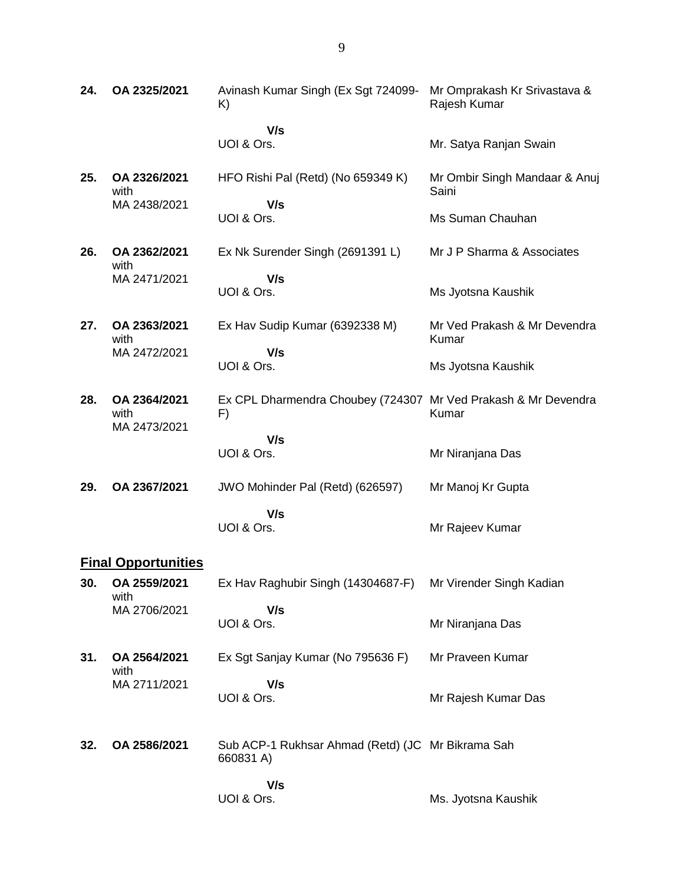| 24.                 | OA 2325/2021                         | Avinash Kumar Singh (Ex Sgt 724099-<br>K)                                                 | Mr Omprakash Kr Srivastava &<br>Rajesh Kumar                |
|---------------------|--------------------------------------|-------------------------------------------------------------------------------------------|-------------------------------------------------------------|
|                     |                                      | V/s<br>UOI & Ors.                                                                         | Mr. Satya Ranjan Swain                                      |
| 25.                 | OA 2326/2021<br>with<br>MA 2438/2021 | HFO Rishi Pal (Retd) (No 659349 K)<br>V/s<br>UOI & Ors.                                   | Mr Ombir Singh Mandaar & Anuj<br>Saini<br>Ms Suman Chauhan  |
| 26.                 | OA 2362/2021<br>with<br>MA 2471/2021 | Ex Nk Surender Singh (2691391 L)<br>V/s<br>UOI & Ors.                                     | Mr J P Sharma & Associates<br>Ms Jyotsna Kaushik            |
| 27.                 | OA 2363/2021<br>with<br>MA 2472/2021 | Ex Hav Sudip Kumar (6392338 M)<br>V/s<br>UOI & Ors.                                       | Mr Ved Prakash & Mr Devendra<br>Kumar<br>Ms Jyotsna Kaushik |
| 28.                 | OA 2364/2021<br>with<br>MA 2473/2021 | Ex CPL Dharmendra Choubey (724307 Mr Ved Prakash & Mr Devendra<br>F)<br>V/s<br>UOI & Ors. | Kumar<br>Mr Niranjana Das                                   |
| 29.                 | OA 2367/2021                         | JWO Mohinder Pal (Retd) (626597)<br>V/s<br>UOI & Ors.                                     | Mr Manoj Kr Gupta<br>Mr Rajeev Kumar                        |
| Einal Annartunitiaa |                                      |                                                                                           |                                                             |

#### **Final Opportunities**

| 30. | OA 2559/2021<br>with | Ex Hav Raghubir Singh (14304687-F)                             | Mr Virender Singh Kadian |
|-----|----------------------|----------------------------------------------------------------|--------------------------|
|     | MA 2706/2021         | V/s<br>UOI & Ors.                                              | Mr Niranjana Das         |
| 31. | OA 2564/2021<br>with | Ex Sgt Sanjay Kumar (No 795636 F)                              | Mr Praveen Kumar         |
|     | MA 2711/2021         | V/s<br>UOI & Ors.                                              | Mr Rajesh Kumar Das      |
| 32. | OA 2586/2021         | Sub ACP-1 Rukhsar Ahmad (Retd) (JC Mr Bikrama Sah<br>660831 A) |                          |
|     |                      | V/s<br>UOI & Ors.                                              | Ms. Jyotsna Kaushik      |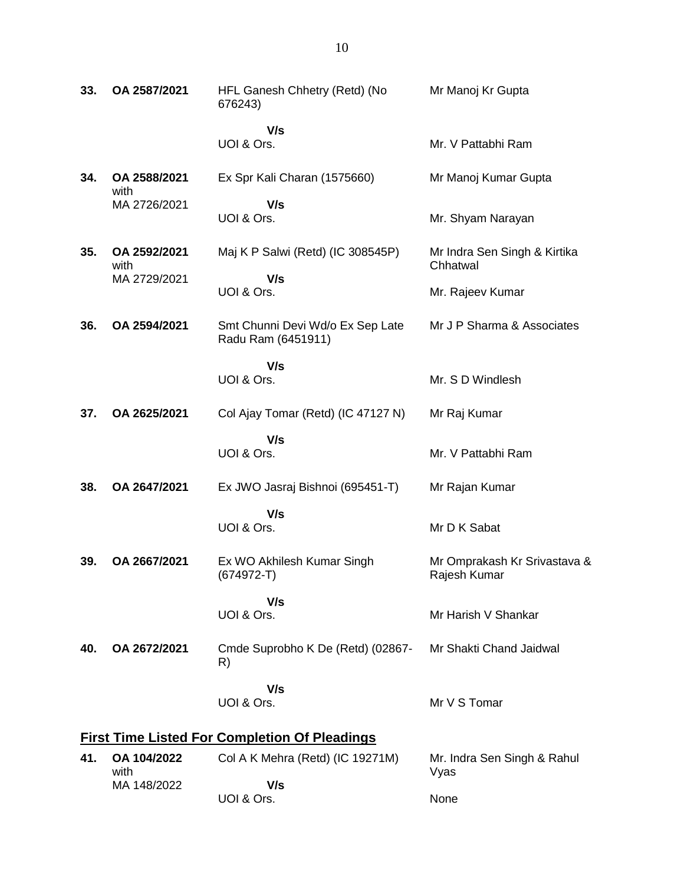| 33.                                                  | OA 2587/2021         | HFL Ganesh Chhetry (Retd) (No<br>676243)               | Mr Manoj Kr Gupta                            |  |  |
|------------------------------------------------------|----------------------|--------------------------------------------------------|----------------------------------------------|--|--|
|                                                      |                      | V/s<br>UOI & Ors.                                      | Mr. V Pattabhi Ram                           |  |  |
| 34.                                                  | OA 2588/2021<br>with | Ex Spr Kali Charan (1575660)                           | Mr Manoj Kumar Gupta                         |  |  |
|                                                      | MA 2726/2021         | V/s<br>UOI & Ors.                                      | Mr. Shyam Narayan                            |  |  |
| 35.                                                  | OA 2592/2021<br>with | Maj K P Salwi (Retd) (IC 308545P)                      | Mr Indra Sen Singh & Kirtika<br>Chhatwal     |  |  |
|                                                      | MA 2729/2021         | V/s<br>UOI & Ors.                                      | Mr. Rajeev Kumar                             |  |  |
| 36.                                                  | OA 2594/2021         | Smt Chunni Devi Wd/o Ex Sep Late<br>Radu Ram (6451911) | Mr J P Sharma & Associates                   |  |  |
|                                                      |                      | V/s<br>UOI & Ors.                                      | Mr. S D Windlesh                             |  |  |
| 37.                                                  | OA 2625/2021         | Col Ajay Tomar (Retd) (IC 47127 N)                     | Mr Raj Kumar                                 |  |  |
|                                                      |                      | V/s<br>UOI & Ors.                                      | Mr. V Pattabhi Ram                           |  |  |
| 38.                                                  | OA 2647/2021         | Ex JWO Jasraj Bishnoi (695451-T)                       | Mr Rajan Kumar                               |  |  |
|                                                      |                      | V/s<br>UOI & Ors.                                      | Mr D K Sabat                                 |  |  |
| 39.                                                  | OA 2667/2021         | Ex WO Akhilesh Kumar Singh<br>(674972-T)               | Mr Omprakash Kr Srivastava &<br>Rajesh Kumar |  |  |
|                                                      |                      | V/s<br>UOI & Ors.                                      | Mr Harish V Shankar                          |  |  |
| 40.                                                  | OA 2672/2021         | Cmde Suprobho K De (Retd) (02867-<br>R)                | Mr Shakti Chand Jaidwal                      |  |  |
|                                                      |                      | V/s<br>UOI & Ors.                                      | Mr V S Tomar                                 |  |  |
| <b>First Time Listed For Completion Of Pleadings</b> |                      |                                                        |                                              |  |  |
| 41.                                                  | OA 104/2022<br>with  | Col A K Mehra (Retd) (IC 19271M)                       | Mr. Indra Sen Singh & Rahul<br>Vyas          |  |  |
|                                                      | MA 148/2022          | V/s<br>UOI & Ors.                                      | None                                         |  |  |